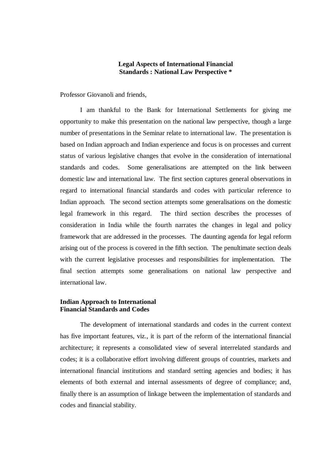# **Legal Aspects of International Financial Standards : National Law Perspective \***

Professor Giovanoli and friends,

I am thankful to the Bank for International Settlements for giving me opportunity to make this presentation on the national law perspective, though a large number of presentations in the Seminar relate to international law. The presentation is based on Indian approach and Indian experience and focus is on processes and current status of various legislative changes that evolve in the consideration of international standards and codes. Some generalisations are attempted on the link between domestic law and international law. The first section captures general observations in regard to international financial standards and codes with particular reference to Indian approach. The second section attempts some generalisations on the domestic legal framework in this regard. The third section describes the processes of consideration in India while the fourth narrates the changes in legal and policy framework that are addressed in the processes. The daunting agenda for legal reform arising out of the process is covered in the fifth section. The penultimate section deals with the current legislative processes and responsibilities for implementation. The final section attempts some generalisations on national law perspective and international law.

# **Indian Approach to International Financial Standards and Codes**

The development of international standards and codes in the current context has five important features, viz., it is part of the reform of the international financial architecture; it represents a consolidated view of several interrelated standards and codes; it is a collaborative effort involving different groups of countries, markets and international financial institutions and standard setting agencies and bodies; it has elements of both external and internal assessments of degree of compliance; and, finally there is an assumption of linkage between the implementation of standards and codes and financial stability.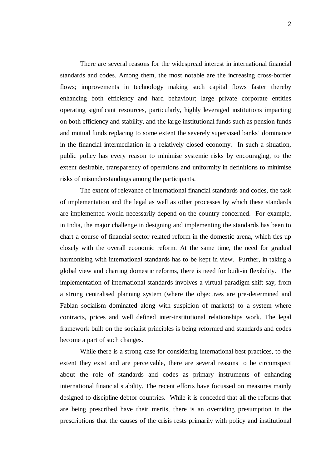There are several reasons for the widespread interest in international financial standards and codes. Among them, the most notable are the increasing cross-border flows; improvements in technology making such capital flows faster thereby enhancing both efficiency and hard behaviour; large private corporate entities operating significant resources, particularly, highly leveraged institutions impacting on both efficiency and stability, and the large institutional funds such as pension funds and mutual funds replacing to some extent the severely supervised banks' dominance in the financial intermediation in a relatively closed economy. In such a situation, public policy has every reason to minimise systemic risks by encouraging, to the extent desirable, transparency of operations and uniformity in definitions to minimise risks of misunderstandings among the participants.

The extent of relevance of international financial standards and codes, the task of implementation and the legal as well as other processes by which these standards are implemented would necessarily depend on the country concerned. For example, in India, the major challenge in designing and implementing the standards has been to chart a course of financial sector related reform in the domestic arena, which ties up closely with the overall economic reform. At the same time, the need for gradual harmonising with international standards has to be kept in view. Further, in taking a global view and charting domestic reforms, there is need for built-in flexibility. The implementation of international standards involves a virtual paradigm shift say, from a strong centralised planning system (where the objectives are pre-determined and Fabian socialism dominated along with suspicion of markets) to a system where contracts, prices and well defined inter-institutional relationships work. The legal framework built on the socialist principles is being reformed and standards and codes become a part of such changes.

While there is a strong case for considering international best practices, to the extent they exist and are perceivable, there are several reasons to be circumspect about the role of standards and codes as primary instruments of enhancing international financial stability. The recent efforts have focussed on measures mainly designed to discipline debtor countries. While it is conceded that all the reforms that are being prescribed have their merits, there is an overriding presumption in the prescriptions that the causes of the crisis rests primarily with policy and institutional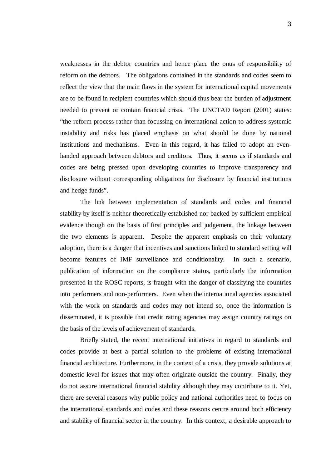weaknesses in the debtor countries and hence place the onus of responsibility of reform on the debtors. The obligations contained in the standards and codes seem to reflect the view that the main flaws in the system for international capital movements are to be found in recipient countries which should thus bear the burden of adjustment needed to prevent or contain financial crisis. The UNCTAD Report (2001) states: "the reform process rather than focussing on international action to address systemic instability and risks has placed emphasis on what should be done by national institutions and mechanisms. Even in this regard, it has failed to adopt an evenhanded approach between debtors and creditors. Thus, it seems as if standards and codes are being pressed upon developing countries to improve transparency and disclosure without corresponding obligations for disclosure by financial institutions and hedge funds".

The link between implementation of standards and codes and financial stability by itself is neither theoretically established nor backed by sufficient empirical evidence though on the basis of first principles and judgement, the linkage between the two elements is apparent. Despite the apparent emphasis on their voluntary adoption, there is a danger that incentives and sanctions linked to standard setting will become features of IMF surveillance and conditionality. In such a scenario, publication of information on the compliance status, particularly the information presented in the ROSC reports, is fraught with the danger of classifying the countries into performers and non-performers. Even when the international agencies associated with the work on standards and codes may not intend so, once the information is disseminated, it is possible that credit rating agencies may assign country ratings on the basis of the levels of achievement of standards.

Briefly stated, the recent international initiatives in regard to standards and codes provide at best a partial solution to the problems of existing international financial architecture. Furthermore, in the context of a crisis, they provide solutions at domestic level for issues that may often originate outside the country. Finally, they do not assure international financial stability although they may contribute to it. Yet, there are several reasons why public policy and national authorities need to focus on the international standards and codes and these reasons centre around both efficiency and stability of financial sector in the country. In this context, a desirable approach to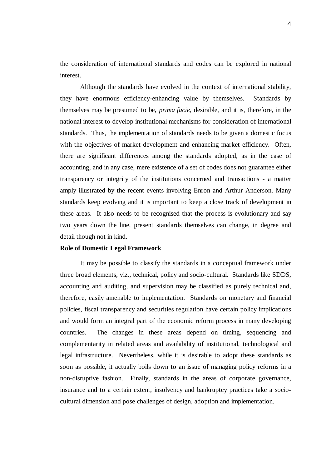the consideration of international standards and codes can be explored in national interest.

Although the standards have evolved in the context of international stability, they have enormous efficiency-enhancing value by themselves. Standards by themselves may be presumed to be, *prima facie,* desirable, and it is, therefore, in the national interest to develop institutional mechanisms for consideration of international standards. Thus, the implementation of standards needs to be given a domestic focus with the objectives of market development and enhancing market efficiency. Often, there are significant differences among the standards adopted, as in the case of accounting, and in any case, mere existence of a set of codes does not guarantee either transparency or integrity of the institutions concerned and transactions - a matter amply illustrated by the recent events involving Enron and Arthur Anderson. Many standards keep evolving and it is important to keep a close track of development in these areas. It also needs to be recognised that the process is evolutionary and say two years down the line, present standards themselves can change, in degree and detail though not in kind.

## **Role of Domestic Legal Framework**

It may be possible to classify the standards in a conceptual framework under three broad elements, viz., technical, policy and socio-cultural. Standards like SDDS, accounting and auditing, and supervision may be classified as purely technical and, therefore, easily amenable to implementation. Standards on monetary and financial policies, fiscal transparency and securities regulation have certain policy implications and would form an integral part of the economic reform process in many developing countries. The changes in these areas depend on timing, sequencing and complementarity in related areas and availability of institutional, technological and legal infrastructure. Nevertheless, while it is desirable to adopt these standards as soon as possible, it actually boils down to an issue of managing policy reforms in a non-disruptive fashion. Finally, standards in the areas of corporate governance, insurance and to a certain extent, insolvency and bankruptcy practices take a sociocultural dimension and pose challenges of design, adoption and implementation.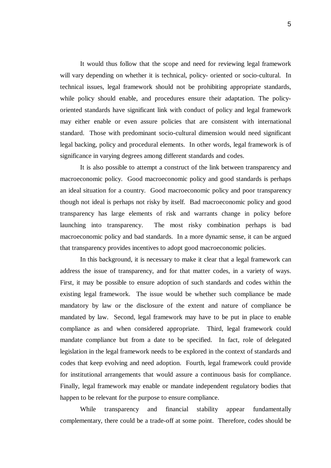It would thus follow that the scope and need for reviewing legal framework will vary depending on whether it is technical, policy- oriented or socio-cultural. In technical issues, legal framework should not be prohibiting appropriate standards, while policy should enable, and procedures ensure their adaptation. The policyoriented standards have significant link with conduct of policy and legal framework may either enable or even assure policies that are consistent with international standard. Those with predominant socio-cultural dimension would need significant legal backing, policy and procedural elements. In other words, legal framework is of significance in varying degrees among different standards and codes.

It is also possible to attempt a construct of the link between transparency and macroeconomic policy. Good macroeconomic policy and good standards is perhaps an ideal situation for a country. Good macroeconomic policy and poor transparency though not ideal is perhaps not risky by itself. Bad macroeconomic policy and good transparency has large elements of risk and warrants change in policy before launching into transparency. The most risky combination perhaps is bad macroeconomic policy and bad standards. In a more dynamic sense, it can be argued that transparency provides incentives to adopt good macroeconomic policies.

In this background, it is necessary to make it clear that a legal framework can address the issue of transparency, and for that matter codes, in a variety of ways. First, it may be possible to ensure adoption of such standards and codes within the existing legal framework. The issue would be whether such compliance be made mandatory by law or the disclosure of the extent and nature of compliance be mandated by law. Second, legal framework may have to be put in place to enable compliance as and when considered appropriate. Third, legal framework could mandate compliance but from a date to be specified. In fact, role of delegated legislation in the legal framework needs to be explored in the context of standards and codes that keep evolving and need adoption. Fourth, legal framework could provide for institutional arrangements that would assure a continuous basis for compliance. Finally, legal framework may enable or mandate independent regulatory bodies that happen to be relevant for the purpose to ensure compliance.

While transparency and financial stability appear fundamentally complementary, there could be a trade-off at some point. Therefore, codes should be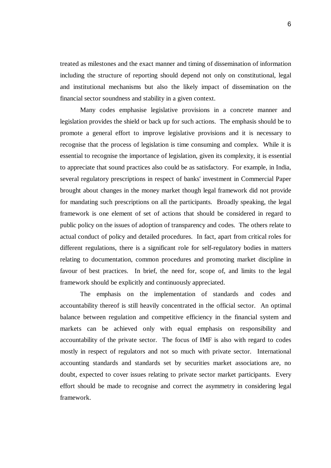treated as milestones and the exact manner and timing of dissemination of information including the structure of reporting should depend not only on constitutional, legal and institutional mechanisms but also the likely impact of dissemination on the financial sector soundness and stability in a given context.

Many codes emphasise legislative provisions in a concrete manner and legislation provides the shield or back up for such actions. The emphasis should be to promote a general effort to improve legislative provisions and it is necessary to recognise that the process of legislation is time consuming and complex. While it is essential to recognise the importance of legislation, given its complexity, it is essential to appreciate that sound practices also could be as satisfactory. For example, in India, several regulatory prescriptions in respect of banks' investment in Commercial Paper brought about changes in the money market though legal framework did not provide for mandating such prescriptions on all the participants. Broadly speaking, the legal framework is one element of set of actions that should be considered in regard to public policy on the issues of adoption of transparency and codes. The others relate to actual conduct of policy and detailed procedures. In fact, apart from critical roles for different regulations, there is a significant role for self-regulatory bodies in matters relating to documentation, common procedures and promoting market discipline in favour of best practices. In brief, the need for, scope of, and limits to the legal framework should be explicitly and continuously appreciated.

The emphasis on the implementation of standards and codes and accountability thereof is still heavily concentrated in the official sector. An optimal balance between regulation and competitive efficiency in the financial system and markets can be achieved only with equal emphasis on responsibility and accountability of the private sector. The focus of IMF is also with regard to codes mostly in respect of regulators and not so much with private sector. International accounting standards and standards set by securities market associations are, no doubt, expected to cover issues relating to private sector market participants. Every effort should be made to recognise and correct the asymmetry in considering legal framework.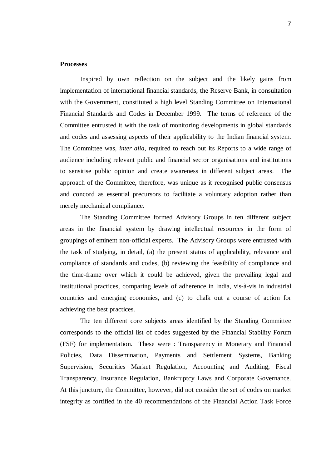## **Processes**

Inspired by own reflection on the subject and the likely gains from implementation of international financial standards, the Reserve Bank, in consultation with the Government, constituted a high level Standing Committee on International Financial Standards and Codes in December 1999. The terms of reference of the Committee entrusted it with the task of monitoring developments in global standards and codes and assessing aspects of their applicability to the Indian financial system. The Committee was, *inter alia,* required to reach out its Reports to a wide range of audience including relevant public and financial sector organisations and institutions to sensitise public opinion and create awareness in different subject areas. The approach of the Committee, therefore, was unique as it recognised public consensus and concord as essential precursors to facilitate a voluntary adoption rather than merely mechanical compliance.

The Standing Committee formed Advisory Groups in ten different subject areas in the financial system by drawing intellectual resources in the form of groupings of eminent non-official experts. The Advisory Groups were entrusted with the task of studying, in detail, (a) the present status of applicability, relevance and compliance of standards and codes, (b) reviewing the feasibility of compliance and the time-frame over which it could be achieved, given the prevailing legal and institutional practices, comparing levels of adherence in India, vis-à-vis in industrial countries and emerging economies, and (c) to chalk out a course of action for achieving the best practices.

The ten different core subjects areas identified by the Standing Committee corresponds to the official list of codes suggested by the Financial Stability Forum (FSF) for implementation. These were : Transparency in Monetary and Financial Policies, Data Dissemination, Payments and Settlement Systems, Banking Supervision, Securities Market Regulation, Accounting and Auditing, Fiscal Transparency, Insurance Regulation, Bankruptcy Laws and Corporate Governance. At this juncture, the Committee, however, did not consider the set of codes on market integrity as fortified in the 40 recommendations of the Financial Action Task Force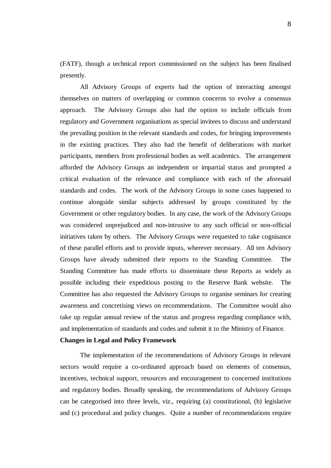(FATF), though a technical report commissioned on the subject has been finalised presently.

All Advisory Groups of experts had the option of interacting amongst themselves on matters of overlapping or common concerns to evolve a consensus approach. The Advisory Groups also had the option to include officials from regulatory and Government organisations as special invitees to discuss and understand the prevailing position in the relevant standards and codes, for bringing improvements in the existing practices. They also had the benefit of deliberations with market participants, members from professional bodies as well academics. The arrangement afforded the Advisory Groups an independent or impartial status and prompted a critical evaluation of the relevance and compliance with each of the aforesaid standards and codes. The work of the Advisory Groups in some cases happened to continue alongside similar subjects addressed by groups constituted by the Government or other regulatory bodies. In any case, the work of the Advisory Groups was considered unprejudiced and non-intrusive to any such official or non-official initiatives taken by others. The Advisory Groups were requested to take cognisance of these parallel efforts and to provide inputs, wherever necessary. All ten Advisory Groups have already submitted their reports to the Standing Committee. The Standing Committee has made efforts to disseminate these Reports as widely as possible including their expeditious posting to the Reserve Bank website. The Committee has also requested the Advisory Groups to organise seminars for creating awareness and concretising views on recommendations. The Committee would also take up regular annual review of the status and progress regarding compliance with, and implementation of standards and codes and submit it to the Ministry of Finance.

## **Changes in Legal and Policy Framework**

The implementation of the recommendations of Advisory Groups in relevant sectors would require a co-ordinated approach based on elements of consensus, incentives, technical support, resources and encouragement to concerned institutions and regulatory bodies. Broadly speaking, the recommendations of Advisory Groups can be categorised into three levels, viz., requiring (a) constitutional, (b) legislative and (c) procedural and policy changes. Quite a number of recommendations require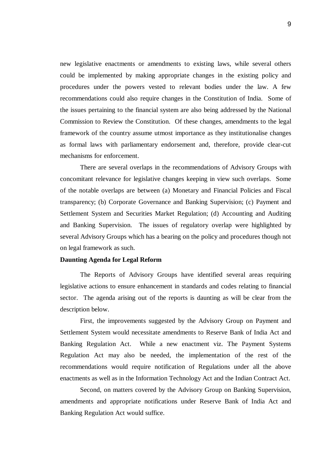new legislative enactments or amendments to existing laws, while several others could be implemented by making appropriate changes in the existing policy and procedures under the powers vested to relevant bodies under the law. A few recommendations could also require changes in the Constitution of India. Some of the issues pertaining to the financial system are also being addressed by the National Commission to Review the Constitution. Of these changes, amendments to the legal framework of the country assume utmost importance as they institutionalise changes as formal laws with parliamentary endorsement and, therefore, provide clear-cut mechanisms for enforcement.

There are several overlaps in the recommendations of Advisory Groups with concomitant relevance for legislative changes keeping in view such overlaps. Some of the notable overlaps are between (a) Monetary and Financial Policies and Fiscal transparency; (b) Corporate Governance and Banking Supervision; (c) Payment and Settlement System and Securities Market Regulation; (d) Accounting and Auditing and Banking Supervision. The issues of regulatory overlap were highlighted by several Advisory Groups which has a bearing on the policy and procedures though not on legal framework as such.

## **Daunting Agenda for Legal Reform**

The Reports of Advisory Groups have identified several areas requiring legislative actions to ensure enhancement in standards and codes relating to financial sector. The agenda arising out of the reports is daunting as will be clear from the description below.

First, the improvements suggested by the Advisory Group on Payment and Settlement System would necessitate amendments to Reserve Bank of India Act and Banking Regulation Act. While a new enactment viz. The Payment Systems Regulation Act may also be needed, the implementation of the rest of the recommendations would require notification of Regulations under all the above enactments as well as in the Information Technology Act and the Indian Contract Act.

Second, on matters covered by the Advisory Group on Banking Supervision, amendments and appropriate notifications under Reserve Bank of India Act and Banking Regulation Act would suffice.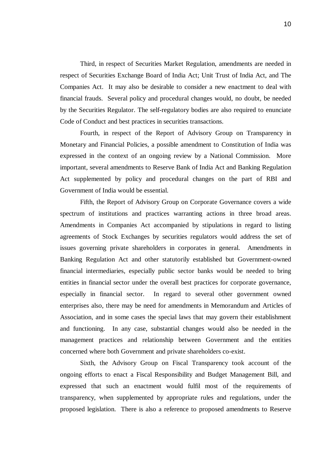Third, in respect of Securities Market Regulation, amendments are needed in respect of Securities Exchange Board of India Act; Unit Trust of India Act, and The Companies Act. It may also be desirable to consider a new enactment to deal with financial frauds. Several policy and procedural changes would, no doubt, be needed by the Securities Regulator. The self-regulatory bodies are also required to enunciate Code of Conduct and best practices in securities transactions.

Fourth, in respect of the Report of Advisory Group on Transparency in Monetary and Financial Policies, a possible amendment to Constitution of India was expressed in the context of an ongoing review by a National Commission. More important, several amendments to Reserve Bank of India Act and Banking Regulation Act supplemented by policy and procedural changes on the part of RBI and Government of India would be essential.

Fifth, the Report of Advisory Group on Corporate Governance covers a wide spectrum of institutions and practices warranting actions in three broad areas. Amendments in Companies Act accompanied by stipulations in regard to listing agreements of Stock Exchanges by securities regulators would address the set of issues governing private shareholders in corporates in general. Amendments in Banking Regulation Act and other statutorily established but Government-owned financial intermediaries, especially public sector banks would be needed to bring entities in financial sector under the overall best practices for corporate governance, especially in financial sector. In regard to several other government owned enterprises also, there may be need for amendments in Memorandum and Articles of Association, and in some cases the special laws that may govern their establishment and functioning. In any case, substantial changes would also be needed in the management practices and relationship between Government and the entities concerned where both Government and private shareholders co-exist.

Sixth, the Advisory Group on Fiscal Transparency took account of the ongoing efforts to enact a Fiscal Responsibility and Budget Management Bill, and expressed that such an enactment would fulfil most of the requirements of transparency, when supplemented by appropriate rules and regulations, under the proposed legislation. There is also a reference to proposed amendments to Reserve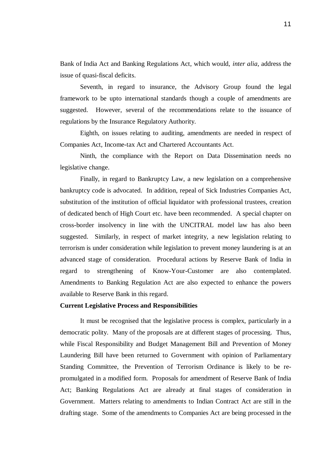Bank of India Act and Banking Regulations Act, which would, *inter alia*, address the issue of quasi-fiscal deficits.

Seventh, in regard to insurance, the Advisory Group found the legal framework to be upto international standards though a couple of amendments are suggested. However, several of the recommendations relate to the issuance of regulations by the Insurance Regulatory Authority.

Eighth, on issues relating to auditing, amendments are needed in respect of Companies Act, Income-tax Act and Chartered Accountants Act.

Ninth, the compliance with the Report on Data Dissemination needs no legislative change.

Finally, in regard to Bankruptcy Law, a new legislation on a comprehensive bankruptcy code is advocated. In addition, repeal of Sick Industries Companies Act, substitution of the institution of official liquidator with professional trustees, creation of dedicated bench of High Court etc. have been recommended. A special chapter on cross-border insolvency in line with the UNCITRAL model law has also been suggested. Similarly, in respect of market integrity, a new legislation relating to terrorism is under consideration while legislation to prevent money laundering is at an advanced stage of consideration. Procedural actions by Reserve Bank of India in regard to strengthening of Know-Your-Customer are also contemplated. Amendments to Banking Regulation Act are also expected to enhance the powers available to Reserve Bank in this regard.

#### **Current Legislative Process and Responsibilities**

It must be recognised that the legislative process is complex, particularly in a democratic polity. Many of the proposals are at different stages of processing. Thus, while Fiscal Responsibility and Budget Management Bill and Prevention of Money Laundering Bill have been returned to Government with opinion of Parliamentary Standing Committee, the Prevention of Terrorism Ordinance is likely to be repromulgated in a modified form. Proposals for amendment of Reserve Bank of India Act; Banking Regulations Act are already at final stages of consideration in Government. Matters relating to amendments to Indian Contract Act are still in the drafting stage. Some of the amendments to Companies Act are being processed in the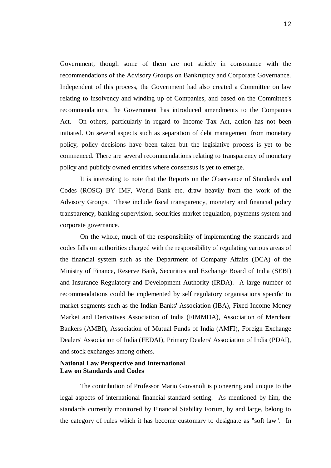Government, though some of them are not strictly in consonance with the recommendations of the Advisory Groups on Bankruptcy and Corporate Governance. Independent of this process, the Government had also created a Committee on law relating to insolvency and winding up of Companies, and based on the Committee's recommendations, the Government has introduced amendments to the Companies Act. On others, particularly in regard to Income Tax Act, action has not been initiated. On several aspects such as separation of debt management from monetary policy, policy decisions have been taken but the legislative process is yet to be commenced. There are several recommendations relating to transparency of monetary policy and publicly owned entities where consensus is yet to emerge.

It is interesting to note that the Reports on the Observance of Standards and Codes (ROSC) BY IMF, World Bank etc. draw heavily from the work of the Advisory Groups. These include fiscal transparency, monetary and financial policy transparency, banking supervision, securities market regulation, payments system and corporate governance.

On the whole, much of the responsibility of implementing the standards and codes falls on authorities charged with the responsibility of regulating various areas of the financial system such as the Department of Company Affairs (DCA) of the Ministry of Finance, Reserve Bank, Securities and Exchange Board of India (SEBI) and Insurance Regulatory and Development Authority (IRDA). A large number of recommendations could be implemented by self regulatory organisations specific to market segments such as the Indian Banks' Association (IBA), Fixed Income Money Market and Derivatives Association of India (FIMMDA), Association of Merchant Bankers (AMBI), Association of Mutual Funds of India (AMFI), Foreign Exchange Dealers' Association of India (FEDAI), Primary Dealers' Association of India (PDAI), and stock exchanges among others.

# **National Law Perspective and International Law on Standards and Codes**

The contribution of Professor Mario Giovanoli is pioneering and unique to the legal aspects of international financial standard setting. As mentioned by him, the standards currently monitored by Financial Stability Forum, by and large, belong to the category of rules which it has become customary to designate as "soft law". In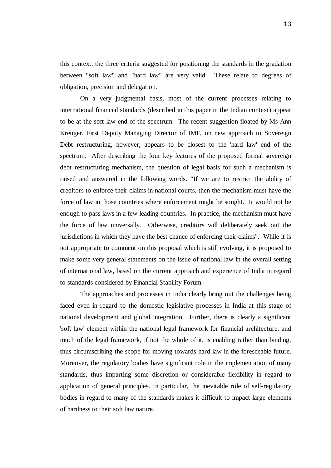this context, the three criteria suggested for positioning the standards in the gradation between "soft law" and "hard law" are very valid. These relate to degrees of obligation, precision and delegation.

On a very judgmental basis, most of the current processes relating to international financial standards (described in this paper in the Indian context) appear to be at the soft law end of the spectrum. The recent suggestion floated by Ms Ann Kreuger, First Deputy Managing Director of IMF, on new approach to Sovereign Debt restructuring, however, appears to be closest to the 'hard law' end of the spectrum. After describing the four key features of the proposed formal sovereign debt restructuring mechanism, the question of legal basis for such a mechanism is raised and answered in the following words. "If we are to restrict the ability of creditors to enforce their claims in national courts, then the mechanism must have the force of law in those countries where enforcement might be sought. It would not be enough to pass laws in a few leading countries. In practice, the mechanism must have the force of law universally. Otherwise, creditors will deliberately seek out the jurisdictions in which they have the best chance of enforcing their claims". While it is not appropriate to comment on this proposal which is still evolving, it is proposed to make some very general statements on the issue of national law in the overall setting of international law, based on the current approach and experience of India in regard to standards considered by Financial Stability Forum.

The approaches and processes in India clearly bring out the challenges being faced even in regard to the domestic legislative processes in India at this stage of national development and global integration. Further, there is clearly a significant 'soft law' element within the national legal framework for financial architecture, and much of the legal framework, if not the whole of it, is enabling rather than binding, thus circumscribing the scope for moving towards hard law in the foreseeable future. Moreover, the regulatory bodies have significant role in the implementation of many standards, thus imparting some discretion or considerable flexibility in regard to application of general principles. In particular, the inevitable role of self-regulatory bodies in regard to many of the standards makes it difficult to impact large elements of hardness to their soft law nature.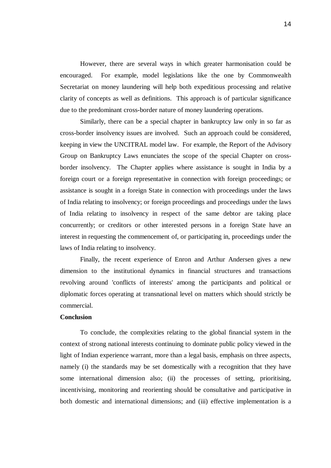However, there are several ways in which greater harmonisation could be encouraged. For example, model legislations like the one by Commonwealth Secretariat on money laundering will help both expeditious processing and relative clarity of concepts as well as definitions. This approach is of particular significance due to the predominant cross-border nature of money laundering operations.

Similarly, there can be a special chapter in bankruptcy law only in so far as cross-border insolvency issues are involved. Such an approach could be considered, keeping in view the UNCITRAL model law. For example, the Report of the Advisory Group on Bankruptcy Laws enunciates the scope of the special Chapter on crossborder insolvency. The Chapter applies where assistance is sought in India by a foreign court or a foreign representative in connection with foreign proceedings; or assistance is sought in a foreign State in connection with proceedings under the laws of India relating to insolvency; or foreign proceedings and proceedings under the laws of India relating to insolvency in respect of the same debtor are taking place concurrently; or creditors or other interested persons in a foreign State have an interest in requesting the commencement of, or participating in, proceedings under the laws of India relating to insolvency.

Finally, the recent experience of Enron and Arthur Andersen gives a new dimension to the institutional dynamics in financial structures and transactions revolving around 'conflicts of interests' among the participants and political or diplomatic forces operating at transnational level on matters which should strictly be commercial.

#### **Conclusion**

To conclude, the complexities relating to the global financial system in the context of strong national interests continuing to dominate public policy viewed in the light of Indian experience warrant, more than a legal basis, emphasis on three aspects, namely (i) the standards may be set domestically with a recognition that they have some international dimension also; (ii) the processes of setting, prioritising, incentivising, monitoring and reorienting should be consultative and participative in both domestic and international dimensions; and (iii) effective implementation is a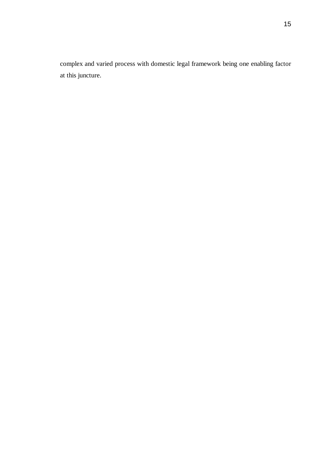complex and varied process with domestic legal framework being one enabling factor at this juncture.